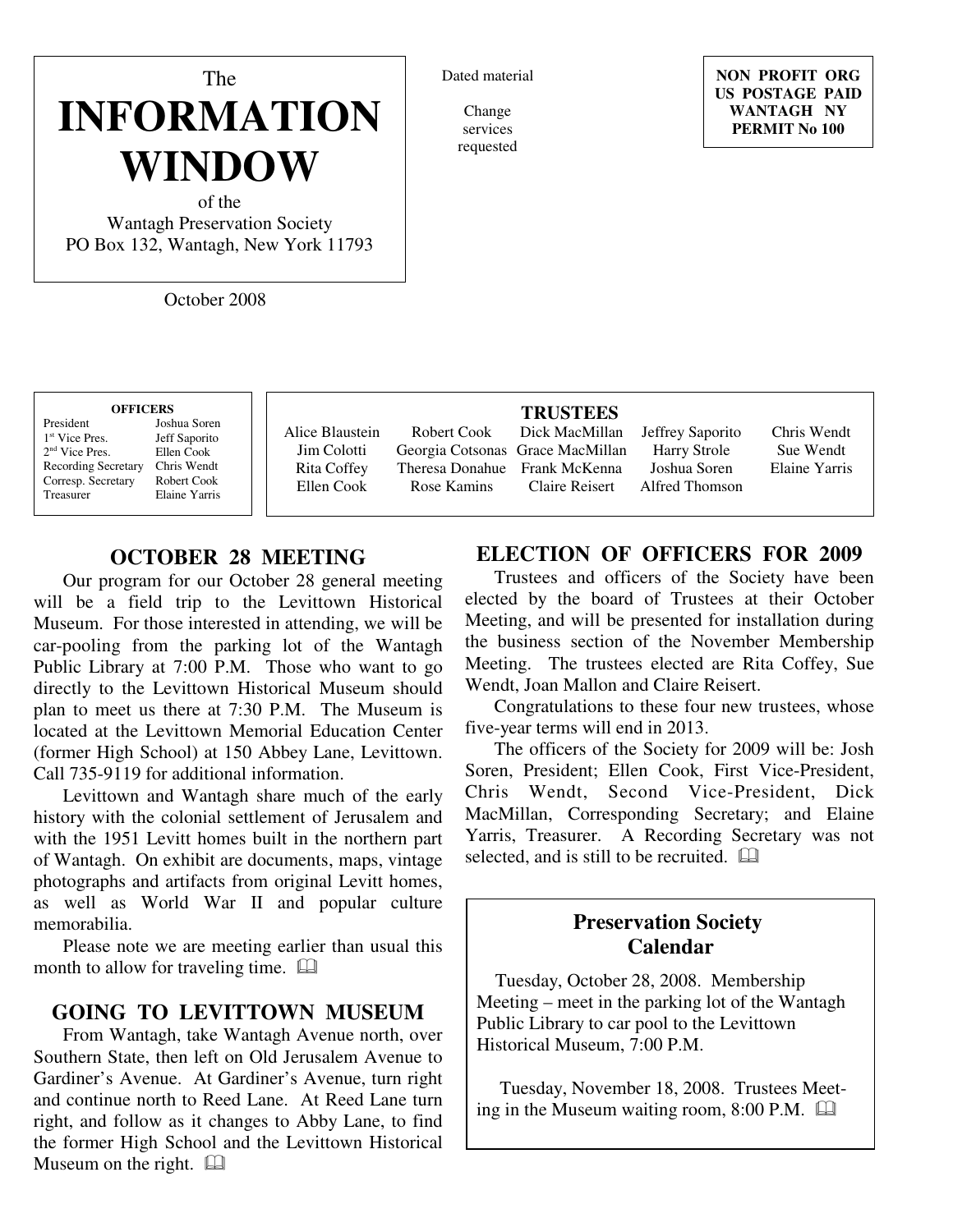# The **INFORMATION WINDOW**

of the Wantagh Preservation Society PO Box 132, Wantagh, New York 11793

October 2008

#### Dated material

Change services requested

**NON PROFIT ORG US POSTAGE PAID WANTAGH NY PERMIT No 100**

#### **OFFICERS** President Joshua Soren  $1<sup>st</sup>$  Vice Pres. Jeff Saporito<br>Ellen Cook 2 nd Vice Pres. Ellen Cook Recording Secretary Chris Wendt Corresp. Secretary Robert Cook

Treasurer Elaine Yarris

Rita Coffey Ellen Cook Robert Cook Georgia Cotsonas Rose Kamins

#### **TRUSTEES**

Theresa Donahue Frank McKenna Dick MacMillan Grace MacMillan Claire Reisert

Jeffrey Saporito Harry Strole Joshua Soren Alfred Thomson

Chris Wendt Sue Wendt Elaine Yarris

# **OCTOBER 28 MEETING**

Our program for our October 28 general meeting will be a field trip to the Levittown Historical Museum. For those interested in attending, we will be car-pooling from the parking lot of the Wantagh Public Library at 7:00 P.M. Those who want to go directly to the Levittown Historical Museum should plan to meet us there at 7:30 P.M. The Museum is located at the Levittown Memorial Education Center (former High School) at 150 Abbey Lane, Levittown. Call 735-9119 for additional information.

Levittown and Wantagh share much of the early history with the colonial settlement of Jerusalem and with the 1951 Levitt homes built in the northern part of Wantagh. On exhibit are documents, maps, vintage photographs and artifacts from original Levitt homes, as well as World War II and popular culture memorabilia.

Please note we are meeting earlier than usual this month to allow for traveling time.  $\square$ 

#### **GOING TO LEVITTOWN MUSEUM**

From Wantagh, take Wantagh Avenue north, over Southern State, then left on Old Jerusalem Avenue to Gardiner's Avenue. At Gardiner's Avenue, turn right and continue north to Reed Lane. At Reed Lane turn right, and follow as it changes to Abby Lane, to find the former High School and the Levittown Historical Museum on the right.

# **ELECTION OF OFFICERS FOR 2009**

Trustees and officers of the Society have been elected by the board of Trustees at their October Meeting, and will be presented for installation during the business section of the November Membership Meeting. The trustees elected are Rita Coffey, Sue Wendt, Joan Mallon and Claire Reisert.

Congratulations to these four new trustees, whose five-year terms will end in 2013.

The officers of the Society for 2009 will be: Josh Soren, President; Ellen Cook, First Vice-President, Chris Wendt, Second Vice-President, Dick MacMillan, Corresponding Secretary; and Elaine Yarris, Treasurer. A Recording Secretary was not selected, and is still to be recruited.  $\Box$ 

# **Preservation Society Calendar**

 Tuesday, October 28, 2008. Membership Meeting – meet in the parking lot of the Wantagh Public Library to car pool to the Levittown Historical Museum, 7:00 P.M.

 Tuesday, November 18, 2008. Trustees Meeting in the Museum waiting room, 8:00 P.M.

Alice Blaustein Jim Colotti